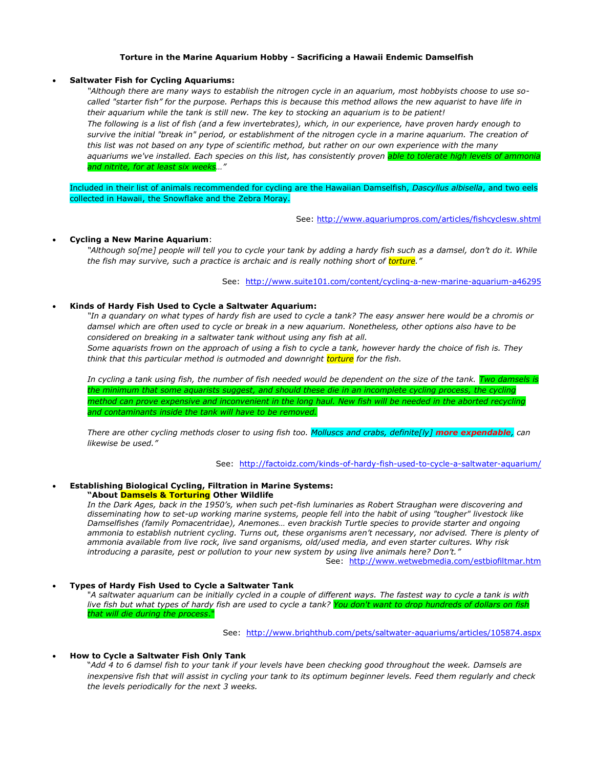# **Torture in the Marine Aquarium Hobby - Sacrificing a Hawaii Endemic Damselfish**

# **Saltwater Fish for Cycling Aquariums:**

*"Although there are many ways to establish the nitrogen cycle in an aquarium, most hobbyists choose to use socalled "starter fish" for the purpose. Perhaps this is because this method allows the new aquarist to have life in their aquarium while the tank is still new. The key to stocking an aquarium is to be patient! The following is a list of fish (and a few invertebrates), which, in our experience, have proven hardy enough to*  survive the initial "break in" period, or establishment of the nitrogen cycle in a marine aquarium. The creation of *this list was not based on any type of scientific method, but rather on our own experience with the many*  aquariums we've installed. Each species on this list, has consistently proven <mark>able to tolerate high levels of ammon</mark> *and nitrite, for at least six weeks…"*

Included in their list of animals recommended for cycling are the Hawaiian Damselfish, *Dascyllus albisella*, and two eels collected in Hawaii, the Snowflake and the Zebra Moray.

See:<http://www.aquariumpros.com/articles/fishcyclesw.shtml>

## **Cycling a New Marine Aquarium**:

"Although so[me] people will tell you to cycle your tank by adding a hardy fish such as a damsel, don't do it. While *the fish may survive, such a practice is archaic and is really nothing short of torture."*

See: <http://www.suite101.com/content/cycling-a-new-marine-aquarium-a46295>

#### **Kinds of Hardy Fish Used to Cycle a Saltwater Aquarium:**

*"In a quandary on what types of hardy fish are used to cycle a tank? The easy answer here would be a chromis or damsel which are often used to cycle or break in a new aquarium. Nonetheless, other options also have to be considered on breaking in a saltwater tank without using any fish at all.* 

*Some aquarists frown on the approach of using a fish to cycle a tank, however hardy the choice of fish is. They think that this particular method is outmoded and downright torture for the fish.*

*In cycling a tank using fish, the number of fish needed would be dependent on the size of the tank. Two damsels is the minimum that some aquarists suggest, and should these die in an incomplete cycling process, the cycling method can prove expensive and inconvenient in the long haul. New fish will be needed in the aborted recycling and contaminants inside the tank will have to be removed.*

*There are other cycling methods closer to using fish too. Molluscs and crabs, definite[ly] more expendable, can likewise be used."*

See: <http://factoidz.com/kinds-of-hardy-fish-used-to-cycle-a-saltwater-aquarium/>

#### **Establishing Biological Cycling, Filtration in Marine Systems: "About Damsels & Torturing Other Wildlife**

*In the Dark Ages, back in the 1950's, when such pet-fish luminaries as Robert Straughan were discovering and disseminating how to set-up working marine systems, people fell into the habit of using "tougher" livestock like Damselfishes (family Pomacentridae), Anemones… even brackish Turtle species to provide starter and ongoing ammonia to establish nutrient cycling. Turns out, these organisms aren't necessary, nor advised. There is plenty of ammonia available from live rock, live sand organisms, old/used media, and even starter cultures. Why risk introducing a parasite, pest or pollution to your new system by using live animals here? Don't."*

See: <http://www.wetwebmedia.com/estbiofiltmar.htm>

### **Types of Hardy Fish Used to Cycle a Saltwater Tank**

"*A saltwater aquarium can be initially cycled in a couple of different ways. The fastest way to cycle a tank is with live fish but what types of hardy fish are used to cycle a tank? You don't want to drop hundreds of dollars on fish that will die during the process*."

See: <http://www.brighthub.com/pets/saltwater-aquariums/articles/105874.aspx>

### **How to Cycle a Saltwater Fish Only Tank**

"*Add 4 to 6 damsel fish to your tank if your levels have been checking good throughout the week. Damsels are inexpensive fish that will assist in cycling your tank to its optimum beginner levels. Feed them regularly and check the levels periodically for the next 3 weeks.*